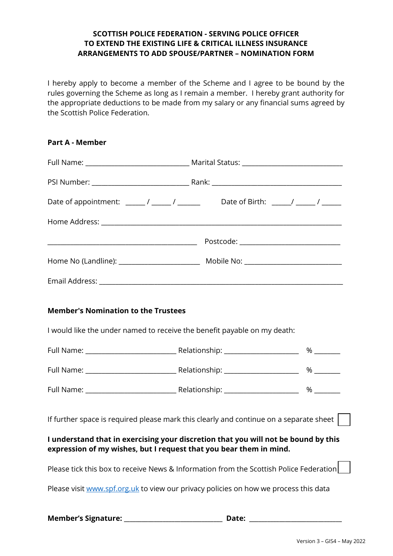## **SCOTTISH POLICE FEDERATION - SERVING POLICE OFFICER TO EXTEND THE EXISTING LIFE & CRITICAL ILLNESS INSURANCE ARRANGEMENTS TO ADD SPOUSE/PARTNER – NOMINATION FORM**

I hereby apply to become a member of the Scheme and I agree to be bound by the rules governing the Scheme as long as I remain a member. I hereby grant authority for the appropriate deductions to be made from my salary or any financial sums agreed by the Scottish Police Federation.

| <b>Part A - Member</b>                                                                                                                                   |       |      |
|----------------------------------------------------------------------------------------------------------------------------------------------------------|-------|------|
|                                                                                                                                                          |       |      |
|                                                                                                                                                          |       |      |
| Date of appointment: _______/ _______/ _______________Date of Birth: ______/ ______/ ______                                                              |       |      |
|                                                                                                                                                          |       |      |
|                                                                                                                                                          |       |      |
|                                                                                                                                                          |       |      |
|                                                                                                                                                          |       |      |
| <b>Member's Nomination to the Trustees</b>                                                                                                               |       |      |
| I would like the under named to receive the benefit payable on my death:                                                                                 |       |      |
|                                                                                                                                                          |       |      |
|                                                                                                                                                          |       | $\%$ |
|                                                                                                                                                          |       | $\%$ |
| If further space is required please mark this clearly and continue on a separate sheet                                                                   |       |      |
| I understand that in exercising your discretion that you will not be bound by this<br>expression of my wishes, but I request that you bear them in mind. |       |      |
| Please tick this box to receive News & Information from the Scottish Police Federation                                                                   |       |      |
| Please visit www.spf.org.uk to view our privacy policies on how we process this data                                                                     |       |      |
|                                                                                                                                                          | Date: |      |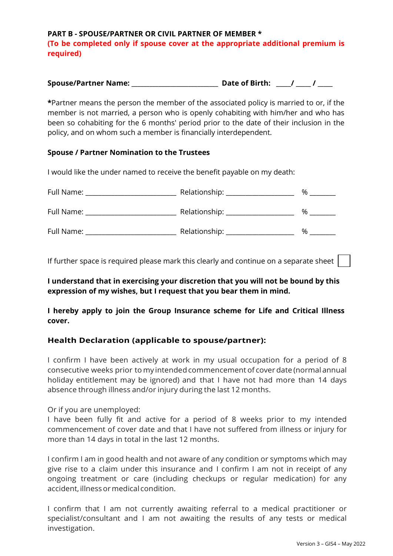**PART B - SPOUSE/PARTNER OR CIVIL PARTNER OF MEMBER \* (To be completed only if spouse cover at the appropriate additional premium is required)** 

| <b>Spouse/Partner Name:</b> | <b>Date of Birth:</b> |  |
|-----------------------------|-----------------------|--|
|-----------------------------|-----------------------|--|

**\***Partner means the person the member of the associated policy is married to or, if the member is not married, a person who is openly cohabiting with him/her and who has been so cohabiting for the 6 months' period prior to the date of their inclusion in the policy, and on whom such a member is financially interdependent.

## **Spouse / Partner Nomination to the Trustees**

I would like the under named to receive the benefit payable on my death:

| Full Name: | Relationship: ____________ | % |
|------------|----------------------------|---|
| Full Name: | Relationship: __           | % |
| Full Name: | Relationship: _            | % |

If further space is required please mark this clearly and continue on a separate sheet

**I understand that in exercising your discretion that you will not be bound by this expression of my wishes, but I request that you bear them in mind.** 

**I hereby apply to join the Group Insurance scheme for Life and Critical Illness cover.** 

## **Health Declaration (applicable to spouse/partner):**

I confirm I have been actively at work in my usual occupation for a period of 8 consecutive weeks prior to my intended commencement of cover date (normal annual holiday entitlement may be ignored) and that I have not had more than 14 days absence through illness and/or injury during the last 12 months.

Or if you are unemployed:

I have been fully fit and active for a period of 8 weeks prior to my intended commencement of cover date and that I have not suffered from illness or injury for more than 14 days in total in the last 12 months.

I confirm I am in good health and not aware of any condition or symptoms which may give rise to a claim under this insurance and I confirm I am not in receipt of any ongoing treatment or care (including checkups or regular medication) for any accident, illness or medical condition.

I confirm that I am not currently awaiting referral to a medical practitioner or specialist/consultant and I am not awaiting the results of any tests or medical investigation.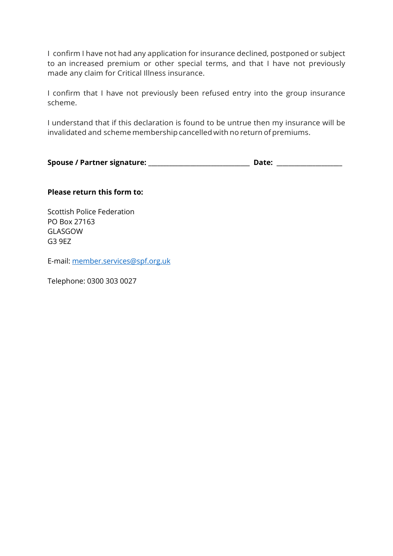I confirm I have not had any application for insurance declined, postponed or subject to an increased premium or other special terms, and that I have not previously made any claim for Critical Illness insurance.

I confirm that I have not previously been refused entry into the group insurance scheme.

I understand that if this declaration is found to be untrue then my insurance will be invalidated and scheme membership cancelled with no return of premiums.

| Spouse / Partner signature: | Date: |  |
|-----------------------------|-------|--|
|                             |       |  |

## **Please return this form to:**

Scottish Police Federation PO Box 27163 GLASGOW G3 9EZ

E-mail: [member.services@spf.org.uk](mailto:member.services@spf.org.uk)

Telephone: 0300 303 0027